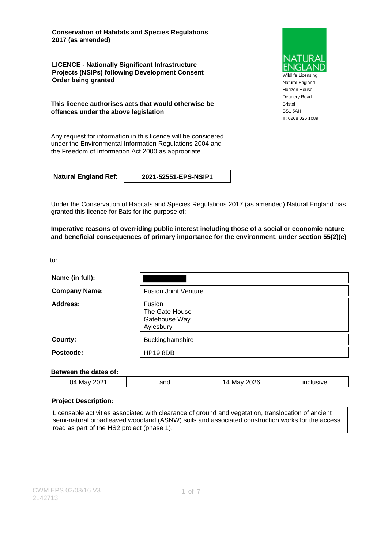**Conservation of Habitats and Species Regulations 2017 (as amended)**

**LICENCE - Nationally Significant Infrastructure Projects (NSIPs) following Development Consent Order being granted**

**This licence authorises acts that would otherwise be offences under the above legislation**

Any request for information in this licence will be considered under the Environmental Information Regulations 2004 and the Freedom of Information Act 2000 as appropriate.

**Natural England Ref: 2021-52551-EPS-NSIP1**

Under the Conservation of Habitats and Species Regulations 2017 (as amended) Natural England has granted this licence for Bats for the purpose of:

**Imperative reasons of overriding public interest including those of a social or economic nature and beneficial consequences of primary importance for the environment, under section 55(2)(e)**

to:

| Name (in full):      |                                                        |
|----------------------|--------------------------------------------------------|
| <b>Company Name:</b> | <b>Fusion Joint Venture</b>                            |
| Address:             | Fusion<br>The Gate House<br>Gatehouse Way<br>Aylesbury |
| County:              | Buckinghamshire                                        |
| Postcode:            | <b>HP19 8DB</b>                                        |

### **Between the dates of:**

| ∤ר∩ר<br>04<br>and<br>Mav | 2026<br>Mav<br>$\overline{a}$ | clusive<br>$-$ |
|--------------------------|-------------------------------|----------------|
|--------------------------|-------------------------------|----------------|

### **Project Description:**

Licensable activities associated with clearance of ground and vegetation, translocation of ancient semi-natural broadleaved woodland (ASNW) soils and associated construction works for the access road as part of the HS2 project (phase 1).



Natural England Horizon House Deanery Road Bristol BS1 5AH **T:** 0208 026 1089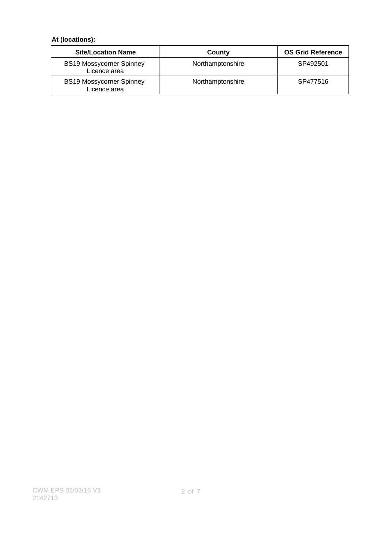## **At (locations):**

| <b>Site/Location Name</b>                       | County           | <b>OS Grid Reference</b> |
|-------------------------------------------------|------------------|--------------------------|
| <b>BS19 Mossycorner Spinney</b><br>Licence area | Northamptonshire | SP492501                 |
| <b>BS19 Mossycorner Spinney</b><br>Licence area | Northamptonshire | SP477516                 |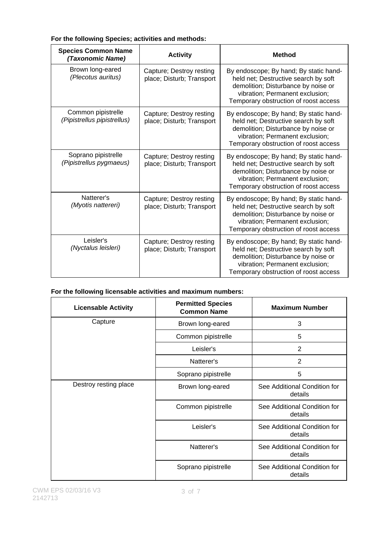| <b>Species Common Name</b><br>(Taxonomic Name)    | <b>Activity</b>                                       | <b>Method</b>                                                                                                                                                                                     |
|---------------------------------------------------|-------------------------------------------------------|---------------------------------------------------------------------------------------------------------------------------------------------------------------------------------------------------|
| Brown long-eared<br>(Plecotus auritus)            | Capture; Destroy resting<br>place; Disturb; Transport | By endoscope; By hand; By static hand-<br>held net; Destructive search by soft<br>demolition; Disturbance by noise or<br>vibration; Permanent exclusion;<br>Temporary obstruction of roost access |
| Common pipistrelle<br>(Pipistrellus pipistrellus) | Capture; Destroy resting<br>place; Disturb; Transport | By endoscope; By hand; By static hand-<br>held net; Destructive search by soft<br>demolition; Disturbance by noise or<br>vibration; Permanent exclusion;<br>Temporary obstruction of roost access |
| Soprano pipistrelle<br>(Pipistrellus pygmaeus)    | Capture; Destroy resting<br>place; Disturb; Transport | By endoscope; By hand; By static hand-<br>held net; Destructive search by soft<br>demolition; Disturbance by noise or<br>vibration; Permanent exclusion;<br>Temporary obstruction of roost access |
| Natterer's<br>(Myotis nattereri)                  | Capture; Destroy resting<br>place; Disturb; Transport | By endoscope; By hand; By static hand-<br>held net; Destructive search by soft<br>demolition; Disturbance by noise or<br>vibration; Permanent exclusion;<br>Temporary obstruction of roost access |
| Leisler's<br>(Nyctalus leisleri)                  | Capture; Destroy resting<br>place; Disturb; Transport | By endoscope; By hand; By static hand-<br>held net; Destructive search by soft<br>demolition; Disturbance by noise or<br>vibration; Permanent exclusion;<br>Temporary obstruction of roost access |

### **For the following Species; activities and methods:**

### **For the following licensable activities and maximum numbers:**

| <b>Licensable Activity</b> | <b>Permitted Species</b><br><b>Common Name</b> | <b>Maximum Number</b>                   |
|----------------------------|------------------------------------------------|-----------------------------------------|
| Capture                    | Brown long-eared                               | 3                                       |
|                            | Common pipistrelle                             | 5                                       |
|                            | Leisler's                                      | 2                                       |
|                            | Natterer's                                     | $\overline{2}$                          |
|                            | Soprano pipistrelle                            | 5                                       |
| Destroy resting place      | Brown long-eared                               | See Additional Condition for<br>details |
|                            | Common pipistrelle                             | See Additional Condition for<br>details |
|                            | Leisler's                                      | See Additional Condition for<br>details |
|                            | Natterer's                                     | See Additional Condition for<br>details |
|                            | Soprano pipistrelle                            | See Additional Condition for<br>details |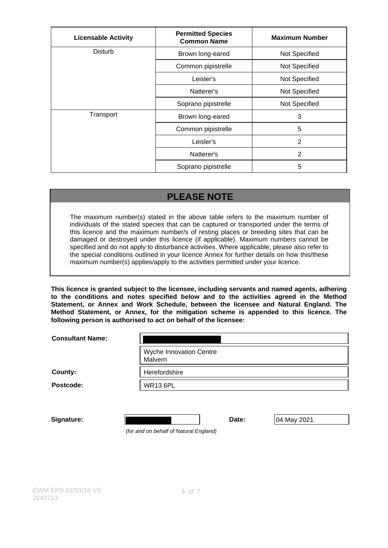| <b>Licensable Activity</b> | <b>Permitted Species</b><br><b>Common Name</b> | <b>Maximum Number</b> |
|----------------------------|------------------------------------------------|-----------------------|
| <b>Disturb</b>             | Brown long-eared                               | Not Specified         |
|                            | Common pipistrelle                             | Not Specified         |
|                            | Leisler's                                      | Not Specified         |
|                            | Natterer's                                     | Not Specified         |
|                            | Soprano pipistrelle                            | Not Specified         |
| Transport                  | Brown long-eared                               | 3                     |
|                            | Common pipistrelle                             | 5                     |
|                            | Leisler's                                      | 2                     |
|                            | Natterer's                                     | 2                     |
|                            | Soprano pipistrelle                            | 5                     |

# **PLEASE NOTE**

The maximum number(s) stated in the above table refers to the maximum number of individuals of the stated species that can be captured or transported under the terms of this licence and the maximum number/s of resting places or breeding sites that can be damaged or destroyed under this licence (if applicable). Maximum numbers cannot be specified and do not apply to disturbance activities. Where applicable, please also refer to the special conditions outlined in your licence Annex for further details on how this/these maximum number(s) applies/apply to the activities permitted under your licence.

**This licence is granted subject to the licensee, including servants and named agents, adhering to the conditions and notes specified below and to the activities agreed in the Method Statement, or Annex and Work Schedule, between the licensee and Natural England. The Method Statement, or Annex, for the mitigation scheme is appended to this licence. The following person is authorised to act on behalf of the licensee:**

| <b>Consultant Name:</b> |                                    |
|-------------------------|------------------------------------|
|                         | Wyche Innovation Centre<br>Malvern |
| County:                 | Herefordshire                      |
| Postcode:               | <b>WR13 6PL</b>                    |
|                         |                                    |

**Signature: Date: Date:** 04 May 2021

(for and on behalf of Natural England)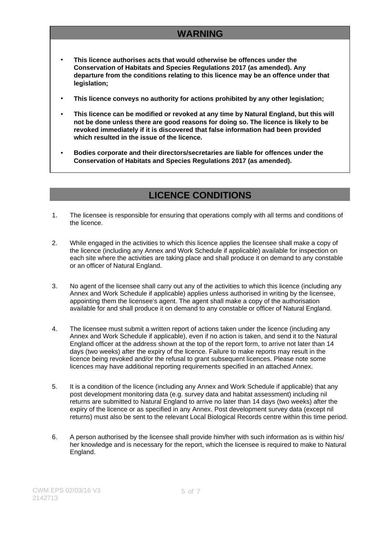# **WARNING**

- **This licence authorises acts that would otherwise be offences under the Conservation of Habitats and Species Regulations 2017 (as amended). Any departure from the conditions relating to this licence may be an offence under that legislation;**
- **This licence conveys no authority for actions prohibited by any other legislation;**
- **This licence can be modified or revoked at any time by Natural England, but this will not be done unless there are good reasons for doing so. The licence is likely to be revoked immediately if it is discovered that false information had been provided which resulted in the issue of the licence.**
- **Bodies corporate and their directors/secretaries are liable for offences under the Conservation of Habitats and Species Regulations 2017 (as amended).**

## **LICENCE CONDITIONS**

- 1. The licensee is responsible for ensuring that operations comply with all terms and conditions of the licence.
- 2. While engaged in the activities to which this licence applies the licensee shall make a copy of the licence (including any Annex and Work Schedule if applicable) available for inspection on each site where the activities are taking place and shall produce it on demand to any constable or an officer of Natural England.
- 3. No agent of the licensee shall carry out any of the activities to which this licence (including any Annex and Work Schedule if applicable) applies unless authorised in writing by the licensee, appointing them the licensee's agent. The agent shall make a copy of the authorisation available for and shall produce it on demand to any constable or officer of Natural England.
- 4. The licensee must submit a written report of actions taken under the licence (including any Annex and Work Schedule if applicable), even if no action is taken, and send it to the Natural England officer at the address shown at the top of the report form, to arrive not later than 14 days (two weeks) after the expiry of the licence. Failure to make reports may result in the licence being revoked and/or the refusal to grant subsequent licences. Please note some licences may have additional reporting requirements specified in an attached Annex.
- 5. It is a condition of the licence (including any Annex and Work Schedule if applicable) that any post development monitoring data (e.g. survey data and habitat assessment) including nil returns are submitted to Natural England to arrive no later than 14 days (two weeks) after the expiry of the licence or as specified in any Annex. Post development survey data (except nil returns) must also be sent to the relevant Local Biological Records centre within this time period.
- 6. A person authorised by the licensee shall provide him/her with such information as is within his/ her knowledge and is necessary for the report, which the licensee is required to make to Natural England.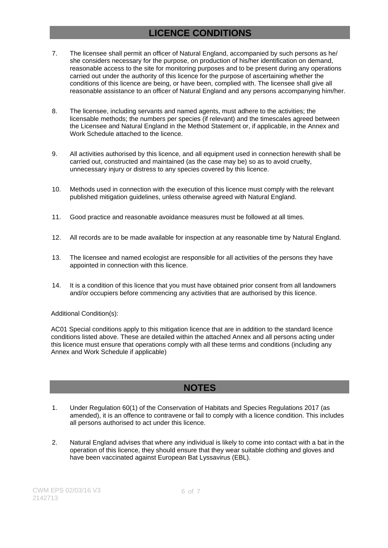# **LICENCE CONDITIONS**

- 7. The licensee shall permit an officer of Natural England, accompanied by such persons as he/ she considers necessary for the purpose, on production of his/her identification on demand, reasonable access to the site for monitoring purposes and to be present during any operations carried out under the authority of this licence for the purpose of ascertaining whether the conditions of this licence are being, or have been, complied with. The licensee shall give all reasonable assistance to an officer of Natural England and any persons accompanying him/her.
- 8. The licensee, including servants and named agents, must adhere to the activities; the licensable methods; the numbers per species (if relevant) and the timescales agreed between the Licensee and Natural England in the Method Statement or, if applicable, in the Annex and Work Schedule attached to the licence.
- 9. All activities authorised by this licence, and all equipment used in connection herewith shall be carried out, constructed and maintained (as the case may be) so as to avoid cruelty, unnecessary injury or distress to any species covered by this licence.
- 10. Methods used in connection with the execution of this licence must comply with the relevant published mitigation guidelines, unless otherwise agreed with Natural England.
- 11. Good practice and reasonable avoidance measures must be followed at all times.
- 12. All records are to be made available for inspection at any reasonable time by Natural England.
- 13. The licensee and named ecologist are responsible for all activities of the persons they have appointed in connection with this licence.
- 14. It is a condition of this licence that you must have obtained prior consent from all landowners and/or occupiers before commencing any activities that are authorised by this licence.

### Additional Condition(s):

AC01 Special conditions apply to this mitigation licence that are in addition to the standard licence conditions listed above. These are detailed within the attached Annex and all persons acting under this licence must ensure that operations comply with all these terms and conditions (including any Annex and Work Schedule if applicable)

## **NOTES**

- 1. Under Regulation 60(1) of the Conservation of Habitats and Species Regulations 2017 (as amended), it is an offence to contravene or fail to comply with a licence condition. This includes all persons authorised to act under this licence.
- 2. Natural England advises that where any individual is likely to come into contact with a bat in the operation of this licence, they should ensure that they wear suitable clothing and gloves and have been vaccinated against European Bat Lyssavirus (EBL).